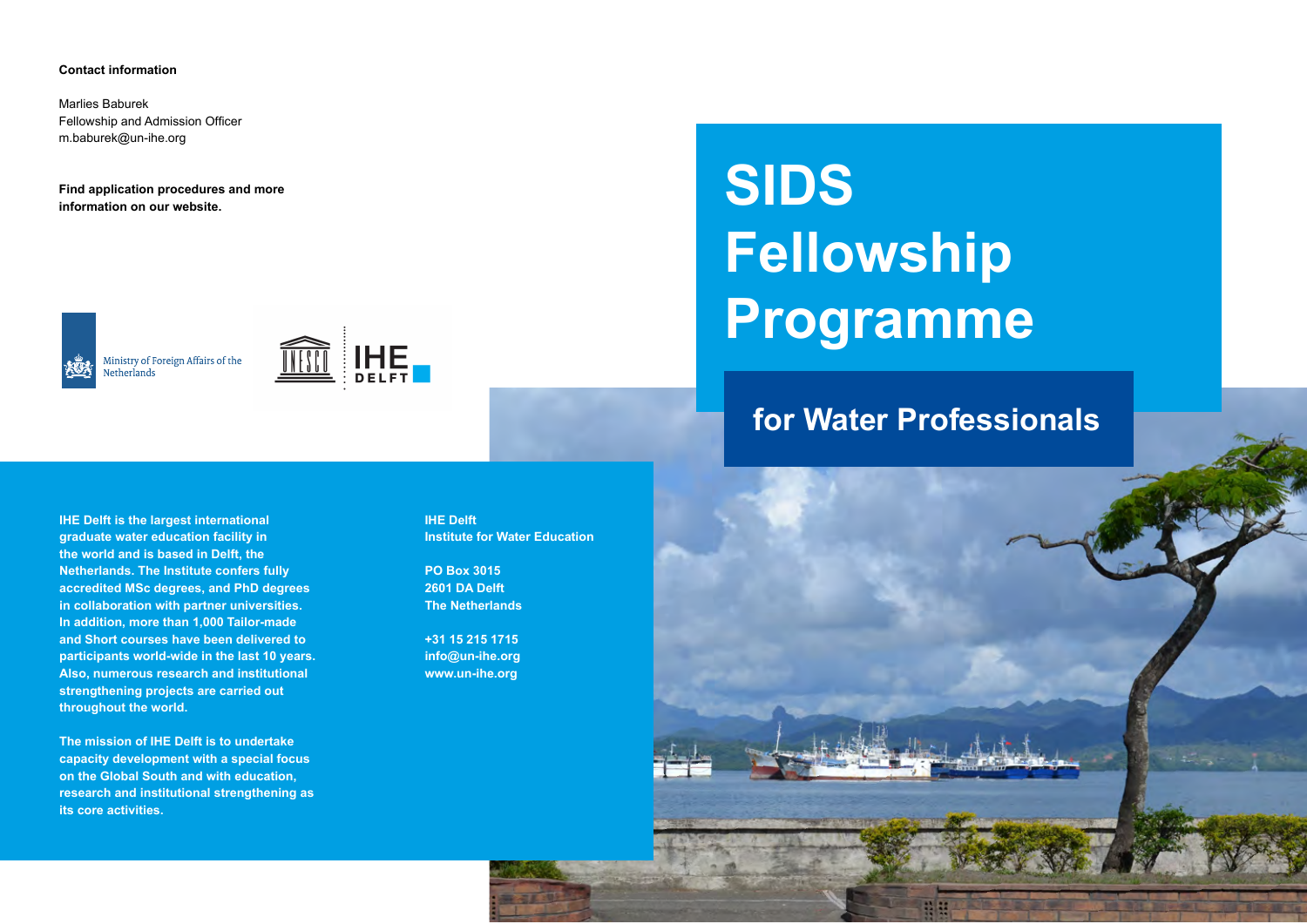#### **Contact information**

Marlies Baburek Fellowship and Admission Officer m.baburek@un-ihe.org

**Find application procedures and more information on our website.**

Ministry of Foreign Affairs of the Netherlands



**SIDS Fellowship Programme** 

# **for Water Professionals**

**IHE Delft is the largest international graduate water education facility in the world and is based in Delft, the Netherlands. The Institute confers fully accredited MSc degrees, and PhD degrees in collaboration with partner universities. In addition, more than 1,000 Tailor-made and Short courses have been delivered to participants world-wide in the last 10 years. Also, numerous research and institutional strengthening projects are carried out throughout the world.**

**The mission of IHE Delft is to undertake capacity development with a special focus on the Global South and with education, research and institutional strengthening as its core activities.**

**IHE Delft Institute for Water Education**

**PO Box 3015 2601 DA Delft The Netherlands**

**+31 15 215 1715 info@un-ihe.org www.un-ihe.org**